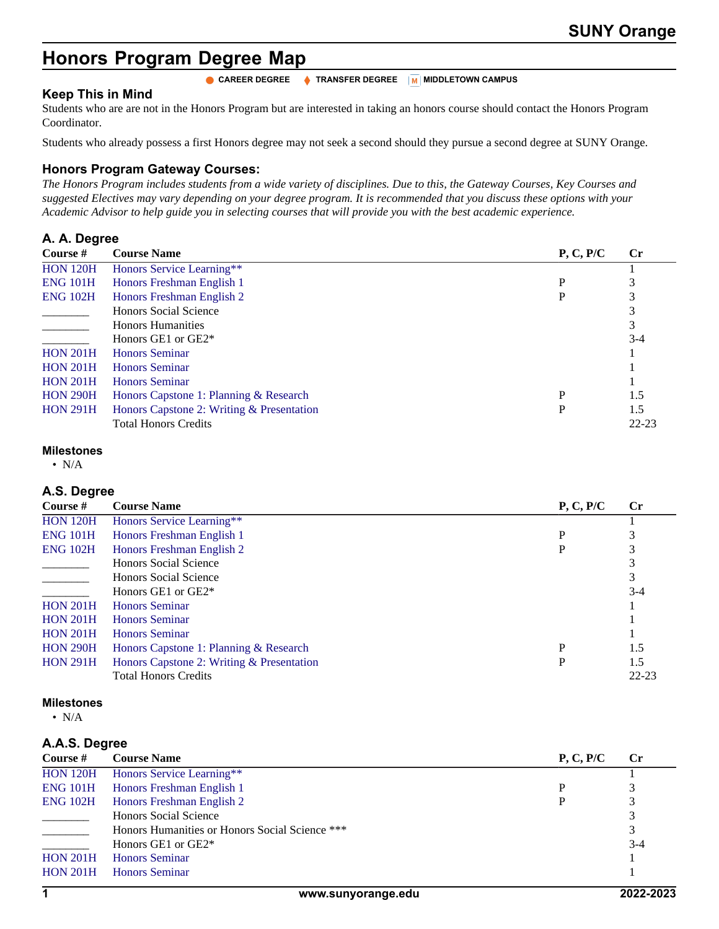# **Honors Program Degree Map**

## **Keep This in Mind**

Students who are are not in the Honors Program but are interested in taking an honors course should contact the Honors Program Coordinator.

**CAREER DEGREE**  $\bullet$  TRANSFER DEGREE MIDDLETOWN CAMPUS

Students who already possess a first Honors degree may not seek a second should they pursue a second degree at SUNY Orange.

### **Honors Program Gateway Courses:**

*The Honors Program includes students from a wide variety of disciplines. Due to this, the Gateway Courses, Key Courses and suggested Electives may vary depending on your degree program. It is recommended that you discuss these options with your Academic Advisor to help guide you in selecting courses that will provide you with the best academic experience.*

# **A. A. Degree**

| Course #        | <b>Course Name</b>                        | P, C, P/C | $\mathbf{C}$ r |
|-----------------|-------------------------------------------|-----------|----------------|
| <b>HON 120H</b> | Honors Service Learning**                 |           |                |
| <b>ENG 101H</b> | Honors Freshman English 1                 | P         |                |
| <b>ENG 102H</b> | Honors Freshman English 2                 |           |                |
|                 | <b>Honors Social Science</b>              |           |                |
|                 | <b>Honors Humanities</b>                  |           |                |
|                 | Honors GE1 or GE2 <sup>*</sup>            |           | $3-4$          |
| <b>HON 201H</b> | <b>Honors Seminar</b>                     |           |                |
| <b>HON 201H</b> | <b>Honors Seminar</b>                     |           |                |
| <b>HON 201H</b> | <b>Honors Seminar</b>                     |           |                |
| <b>HON 290H</b> | Honors Capstone 1: Planning & Research    | P         | 1.5            |
| <b>HON 291H</b> | Honors Capstone 2: Writing & Presentation | D         | 1.5            |
|                 | <b>Total Honors Credits</b>               |           | $22 - 23$      |

# **Milestones**

 $\bullet$  N/A

#### **A.S. Degree**

| Course #        | <b>Course Name</b>                        | P, C, P/C | $\mathbf{C}$ r |
|-----------------|-------------------------------------------|-----------|----------------|
| <b>HON 120H</b> | Honors Service Learning**                 |           |                |
| <b>ENG 101H</b> | Honors Freshman English 1                 | P         |                |
| <b>ENG 102H</b> | Honors Freshman English 2                 | P         |                |
|                 | Honors Social Science                     |           |                |
|                 | Honors Social Science                     |           | 3              |
|                 | Honors GE1 or GE2 <sup>*</sup>            |           | $3-4$          |
| <b>HON 201H</b> | <b>Honors Seminar</b>                     |           |                |
| <b>HON 201H</b> | <b>Honors Seminar</b>                     |           |                |
| <b>HON 201H</b> | <b>Honors Seminar</b>                     |           |                |
| <b>HON 290H</b> | Honors Capstone 1: Planning & Research    | P         | 1.5            |
| <b>HON 291H</b> | Honors Capstone 2: Writing & Presentation |           | 1.5            |
|                 | <b>Total Honors Credits</b>               |           | $22 - 23$      |

#### **Milestones**

 $\bullet$  N/A

#### **A.A.S. Degree**

| Course $#$                                                                                                                                                                                                                                                                                                                                                                                                                                                                 | <b>Course Name</b>                             | P, C, P/C | $\mathbf{C}$ r |
|----------------------------------------------------------------------------------------------------------------------------------------------------------------------------------------------------------------------------------------------------------------------------------------------------------------------------------------------------------------------------------------------------------------------------------------------------------------------------|------------------------------------------------|-----------|----------------|
| <b>HON 120H</b>                                                                                                                                                                                                                                                                                                                                                                                                                                                            | Honors Service Learning**                      |           |                |
| <b>ENG 101H</b>                                                                                                                                                                                                                                                                                                                                                                                                                                                            | Honors Freshman English 1                      |           |                |
| <b>ENG 102H</b>                                                                                                                                                                                                                                                                                                                                                                                                                                                            | Honors Freshman English 2                      |           |                |
| $\frac{1}{2} \left( \frac{1}{2} \right) \left( \frac{1}{2} \right) \left( \frac{1}{2} \right) \left( \frac{1}{2} \right) \left( \frac{1}{2} \right) \left( \frac{1}{2} \right) \left( \frac{1}{2} \right) \left( \frac{1}{2} \right) \left( \frac{1}{2} \right) \left( \frac{1}{2} \right) \left( \frac{1}{2} \right) \left( \frac{1}{2} \right) \left( \frac{1}{2} \right) \left( \frac{1}{2} \right) \left( \frac{1}{2} \right) \left( \frac{1}{2} \right) \left( \frac$ | <b>Honors Social Science</b>                   |           |                |
|                                                                                                                                                                                                                                                                                                                                                                                                                                                                            | Honors Humanities or Honors Social Science *** |           |                |
|                                                                                                                                                                                                                                                                                                                                                                                                                                                                            | Honors GE1 or GE2 <sup>*</sup>                 |           | $3 - 4$        |
| <b>HON 201H</b>                                                                                                                                                                                                                                                                                                                                                                                                                                                            | <b>Honors Seminar</b>                          |           |                |
| <b>HON 201H</b>                                                                                                                                                                                                                                                                                                                                                                                                                                                            | <b>Honors Seminar</b>                          |           |                |